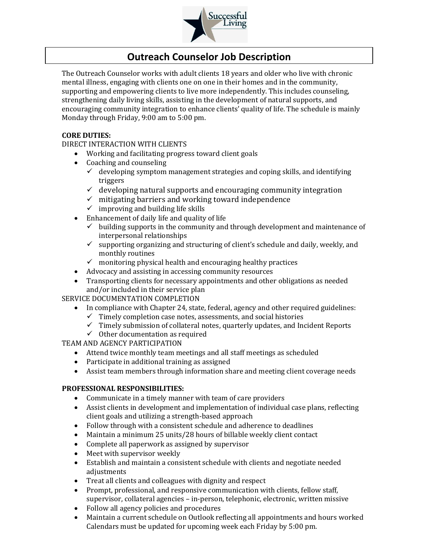

# **Outreach Counselor Job Description**

The Outreach Counselor works with adult clients 18 years and older who live with chronic mental illness, engaging with clients one on one in their homes and in the community, supporting and empowering clients to live more independently. This includes counseling, strengthening daily living skills, assisting in the development of natural supports, and encouraging community integration to enhance clients' quality of life. The schedule is mainly Monday through Friday, 9:00 am to 5:00 pm.

### **CORE DUTIES:**

DIRECT INTERACTION WITH CLIENTS

- Working and facilitating progress toward client goals
- Coaching and counseling
	- $\checkmark$  developing symptom management strategies and coping skills, and identifying triggers
	- $\checkmark$  developing natural supports and encouraging community integration
	- $\checkmark$  mitigating barriers and working toward independence
	- $\checkmark$  improving and building life skills
- Enhancement of daily life and quality of life
	- $\checkmark$  building supports in the community and through development and maintenance of interpersonal relationships
	- $\checkmark$  supporting organizing and structuring of client's schedule and daily, weekly, and monthly routines
	- $\checkmark$  monitoring physical health and encouraging healthy practices
- Advocacy and assisting in accessing community resources
- Transporting clients for necessary appointments and other obligations as needed and/or included in their service plan

SERVICE DOCUMENTATION COMPLETION

- In compliance with Chapter 24, state, federal, agency and other required guidelines:
	- $\checkmark$  Timely completion case notes, assessments, and social histories
	- ✓ Timely submission of collateral notes, quarterly updates, and Incident Reports
	- $\checkmark$  Other documentation as required

TEAM AND AGENCY PARTICIPATION

- Attend twice monthly team meetings and all staff meetings as scheduled
- Participate in additional training as assigned
- Assist team members through information share and meeting client coverage needs

## **PROFESSIONAL RESPONSIBILITIES:**

- Communicate in a timely manner with team of care providers
- Assist clients in development and implementation of individual case plans, reflecting client goals and utilizing a strength-based approach
- Follow through with a consistent schedule and adherence to deadlines
- Maintain a minimum 25 units/28 hours of billable weekly client contact
- Complete all paperwork as assigned by supervisor
- Meet with supervisor weekly
- Establish and maintain a consistent schedule with clients and negotiate needed adjustments
- Treat all clients and colleagues with dignity and respect
- Prompt, professional, and responsive communication with clients, fellow staff, supervisor, collateral agencies – in-person, telephonic, electronic, written missive
- Follow all agency policies and procedures
- Maintain a current schedule on Outlook reflecting all appointments and hours worked Calendars must be updated for upcoming week each Friday by 5:00 pm.